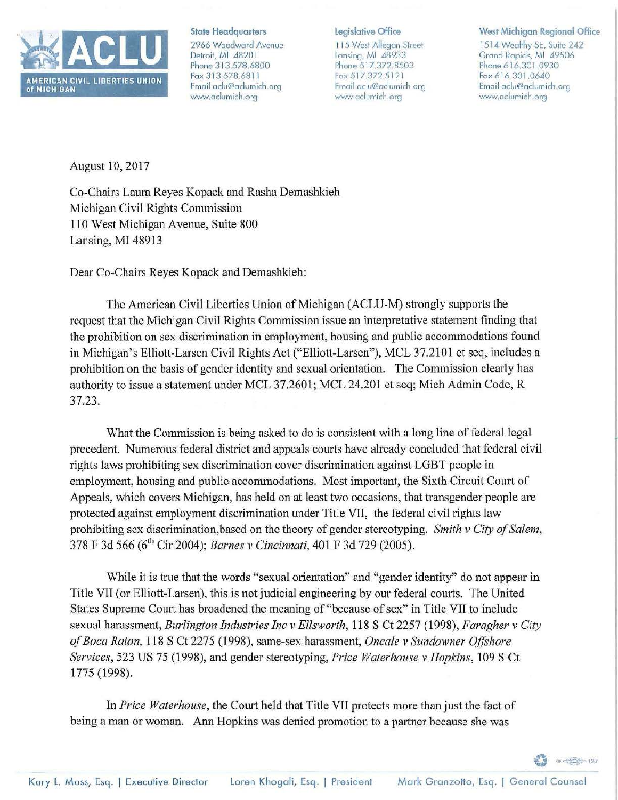

State Headquarters

2966 Woodward Avenue Detroit, Ml 48201 Phone 313.578.6800 Fax 313.578.6811 Email aclu@aclumich.org www.adumich.org

## legislative Office

115 West Allegan Street Laming, Ml 48933 Phone 517.372.8503 Fax 517.372.5121 Email aclu@aclumich.org www.aclumich.org

## West Michigan Regional Office

1514 Wealthy SE, Suite 242 Grand Rapids, Ml 49506 Phone 616.301.0930 Fax 616.301.0640 Email aclu@aclumich.org www.aclumich.org

 $\circledcirc$  = 132

August 10, 2017

Co-Chairs Laura Reyes Kopack and Rasha Demashkieh Michigan Civil Rights Commission 110 West Michigan Avenue, Suite 800 Lansing, MI 48913

Dear Co-Chairs Reyes Kopack and Demashkieh:

The American Civil Liberties Union of Michigan (ACLU-M) strongly supports the request that the Michigan Civil Rights Commission issue an interpretative statement finding that the prohibition on sex discrimination in employment, housing and public accommodations found in Michigan's Elliott-Larsen Civil Rights Act ("Elliott-Larsen"), MCL 37.2101 et seq, includes a prohibition on the basis of gender identity and sexual orientation. The Commission clearly has authority to issue a statement under MCL 37.2601; MCL 24.201 et seq; Mich Admin Code, R 37.23.

What the Commission is being asked to do is consistent with a long line of federal legal precedent. Numerous federal district and appeals courts have already concluded that federal civil rights laws prohibiting sex discrimination cover discrimination against LGBT people in employment, housing and public accommodations. Most important, the Sixth Circuit Court of Appeals, which covers Michigan, has held on at least two occasions, that transgender people are protected against employment discrimination under Title VII, the federal civil rights law prohibiting sex discrimination, based on the theory of gender stereotyping. *Smith v City of Salem,*  378 F 3d 566 (6<sup>th</sup> Cir 2004); *Barnes v Cincinnati*, 401 F 3d 729 (2005).

While it is true that the words "sexual orientation" and "gender identity" do not appear in Title VII (or Elliott-Larsen). this is not judicial engineering by our federal comis. The United States Supreme Court has broadened the meaning of "because of sex" in Title VII to include sexual harassment, *Burlington Industries Inc v Ellsworth,* 118 S Ct 2257 (1998), *Faragher v City of Boca Raton,* 118 S Ct 227 *5* ( 1998), same-sex harassment, *Oncale v Sundowner Offshore Services,* 523 US 75 (1998), and gender stereotyping, *Price Waterhouse v Hopkins,* 109 S Ct 1775 (1998).

In *Price Waterhouse,* the Court held that Title VII protects more than just the fact of being a man or woman. Ann Hopkins was denied promotion to a partner because she was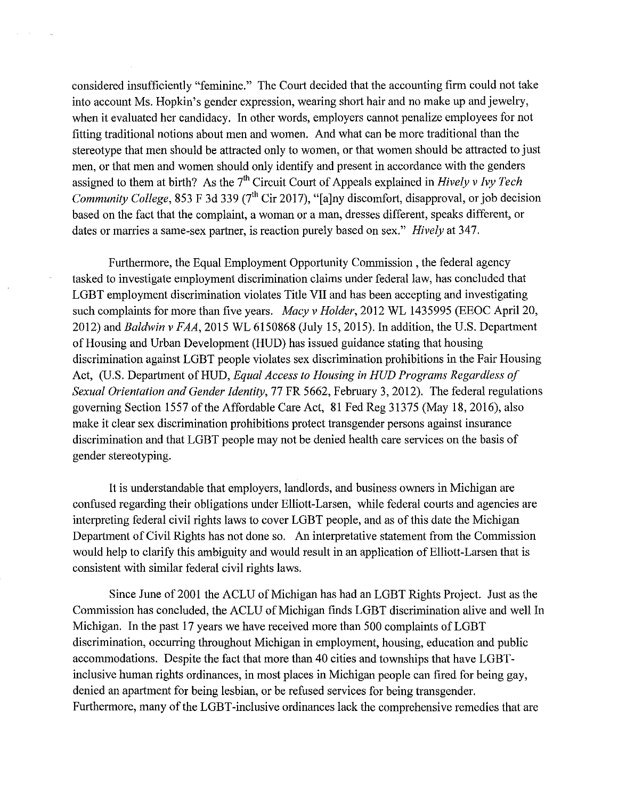considered insufficiently "feminine." The Court decided that the accounting firm could not take into account Ms. Hopkin's gender expression, wearing short hair and no make up and jewelry, when it evaluated her candidacy. In other words, employers cannot penalize employees for not fitting traditional notions about men and women. And what can be more traditional than the stereotype that men should be attracted only to women, or that women should be attracted to just men, or that men and women should only identify and present in accordance with the genders assigned to them at birth? As the 7<sup>th</sup> Circuit Court of Appeals explained in *Hively v Ivy Tech Community College,* 853 F 3d 339 (7<sup>th</sup> Cir 2017), "[a]ny discomfort, disapproval, or job decision based on the fact that the complaint, a woman or a man, dresses different, speaks different, or dates or marries a same-sex partner, is reaction purely based on sex." *Hively* at 347.

Furthermore, the Equal Employment Opportunity Commission , the federal agency tasked to investigate employment discrimination claims under federal law, has concluded that LGBT employment discrimination violates Title VII and has been accepting and investigating such complaints for more than five years. *Macy v Holder,* 2012 WL 1435995 (EEOC April 20, 2012) and *Baldwin v FAA,* 2015 WL 6150868 (July 15, 2015). In addition, the U.S. Department of Housing and Urban Development (HUD) has issued guidance stating that housing discrimination against LGBT people violates sex discrimination prohibitions in the Fair Housing Act, (U.S. Department of HUD, *Equal Access to Housing in HUD Programs Regardless of Sexual Orientation and Gender Identity,* 77 FR 5662, February 3, 2012). The federal regulations governing Section 1557 of the Affordable Care Act, 81 Fed Reg 31375 (May 18, 2016), also make it clear sex discrimination prohibitions protect transgender persons against insurance discrimination and that LGBT people may not be denied health care services on the basis of gender stereotyping.

It is understandable that employers, landlords, and business owners in Michigan are confused regarding their obligations under Elliott-Larsen, while federal courts and agencies are interpreting federal civil rights laws to cover LGBT people, and as of this date the Michigan Department of Civil Rights has not done so. An interpretative statement from the Commission would help to clarify this ambiguity and would result in an application of Elliott-Larsen that is consistent with similar federal civil rights laws.

Since June of2001 the ACLU of Michigan has had an LGBT Rights Project. Just as the Commission has concluded, the ACLU of Michigan finds LGBT discrimination alive and well In Michigan. In the past 17 years we have received more than 500 complaints of LGBT discrimination, occurring throughout Michigan in employment, housing, education and public accommodations. Despite the fact that more than 40 cities and townships that have LGBTinclusive human rights ordinances, in most places in Michigan people can fired for being gay, denied an apartment for being lesbian, or be refused services for being transgender. Furthermore, many of the LGBT-inclusive ordinances lack the comprehensive remedies that are